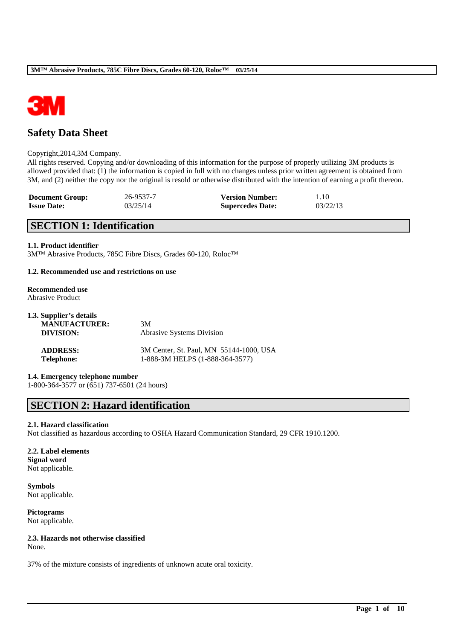

# **Safety Data Sheet**

#### Copyright,2014,3M Company.

All rights reserved. Copying and/or downloading of this information for the purpose of properly utilizing 3M products is allowed provided that: (1) the information is copied in full with no changes unless prior written agreement is obtained from 3M, and (2) neither the copy nor the original is resold or otherwise distributed with the intention of earning a profit thereon.

| <b>Document Group:</b> | 26-9537-7 | <b>Version Number:</b>  | 1.10     |
|------------------------|-----------|-------------------------|----------|
| <b>Issue Date:</b>     | 03/25/14  | <b>Supercedes Date:</b> | 03/22/13 |

# **SECTION 1: Identification**

#### **1.1. Product identifier**

3M™ Abrasive Products, 785C Fibre Discs, Grades 60-120, Roloc™

#### **1.2. Recommended use and restrictions on use**

#### **Recommended use** Abrasive Product

| 1.3. Supplier's details |                                         |
|-------------------------|-----------------------------------------|
| <b>MANUFACTURER:</b>    | 3M                                      |
| DIVISION:               | <b>Abrasive Systems Division</b>        |
| <b>ADDRESS:</b>         | 3M Center, St. Paul, MN 55144-1000, USA |
| <b>Telephone:</b>       | 1-888-3M HELPS (1-888-364-3577)         |

#### **1.4. Emergency telephone number**

1-800-364-3577 or (651) 737-6501 (24 hours)

# **SECTION 2: Hazard identification**

#### **2.1. Hazard classification**

Not classified as hazardous according to OSHA Hazard Communication Standard, 29 CFR 1910.1200.

\_\_\_\_\_\_\_\_\_\_\_\_\_\_\_\_\_\_\_\_\_\_\_\_\_\_\_\_\_\_\_\_\_\_\_\_\_\_\_\_\_\_\_\_\_\_\_\_\_\_\_\_\_\_\_\_\_\_\_\_\_\_\_\_\_\_\_\_\_\_\_\_\_\_\_\_\_\_\_\_\_\_\_\_\_\_\_\_\_\_

#### **2.2. Label elements Signal word** Not applicable.

**Symbols** Not applicable.

**Pictograms** Not applicable.

## **2.3. Hazards not otherwise classified**

None.

37% of the mixture consists of ingredients of unknown acute oral toxicity.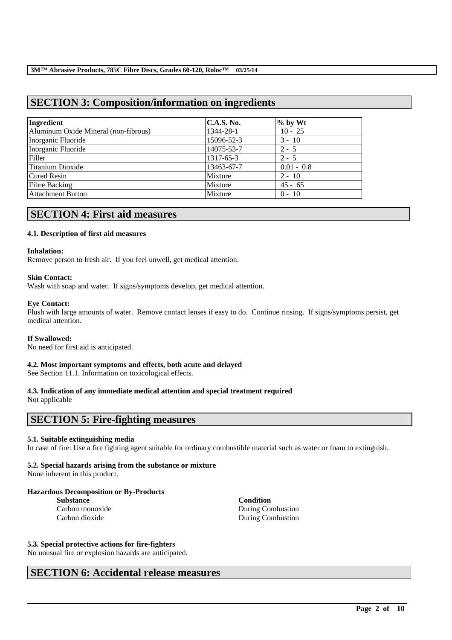# **SECTION 3: Composition/information on ingredients**

| Ingredient                           | C.A.S. No. | $%$ by Wt    |
|--------------------------------------|------------|--------------|
| Aluminum Oxide Mineral (non-fibrous) | 1344-28-1  | $10 - 25$    |
| Inorganic Fluoride                   | 15096-52-3 | $3 - 10$     |
| Inorganic Fluoride                   | 14075-53-7 | $2 - 5$      |
| Filler                               | 1317-65-3  | $2 - 5$      |
| <b>Titanium Dioxide</b>              | 13463-67-7 | $0.01 - 0.8$ |
| <b>Cured Resin</b>                   | Mixture    | $2 - 10$     |
| <b>Fibre Backing</b>                 | Mixture    | $45 - 65$    |
| <b>Attachment Button</b>             | Mixture    | $0 - 10$     |

# **SECTION 4: First aid measures**

# **4.1. Description of first aid measures**

#### **Inhalation:**

Remove person to fresh air. If you feel unwell, get medical attention.

#### **Skin Contact:**

Wash with soap and water. If signs/symptoms develop, get medical attention.

#### **Eye Contact:**

Flush with large amounts of water. Remove contact lenses if easy to do. Continue rinsing. If signs/symptoms persist, get medical attention.

#### **If Swallowed:**

No need for first aid is anticipated.

## **4.2. Most important symptoms and effects, both acute and delayed**

See Section 11.1. Information on toxicological effects.

# **4.3. Indication of any immediate medical attention and special treatment required**

Not applicable

# **SECTION 5: Fire-fighting measures**

## **5.1. Suitable extinguishing media**

In case of fire: Use a fire fighting agent suitable for ordinary combustible material such as water or foam to extinguish.

\_\_\_\_\_\_\_\_\_\_\_\_\_\_\_\_\_\_\_\_\_\_\_\_\_\_\_\_\_\_\_\_\_\_\_\_\_\_\_\_\_\_\_\_\_\_\_\_\_\_\_\_\_\_\_\_\_\_\_\_\_\_\_\_\_\_\_\_\_\_\_\_\_\_\_\_\_\_\_\_\_\_\_\_\_\_\_\_\_\_

## **5.2. Special hazards arising from the substance or mixture**

None inherent in this product.

## **Hazardous Decomposition or By-Products**

**Substance**<br> **Carbon monoxide**<br> **Carbon monoxide**<br> **Condition**<br> **Condition** 

During Combustion Carbon dioxide During Combustion

## **5.3. Special protective actions for fire-fighters**

No unusual fire or explosion hazards are anticipated.

# **SECTION 6: Accidental release measures**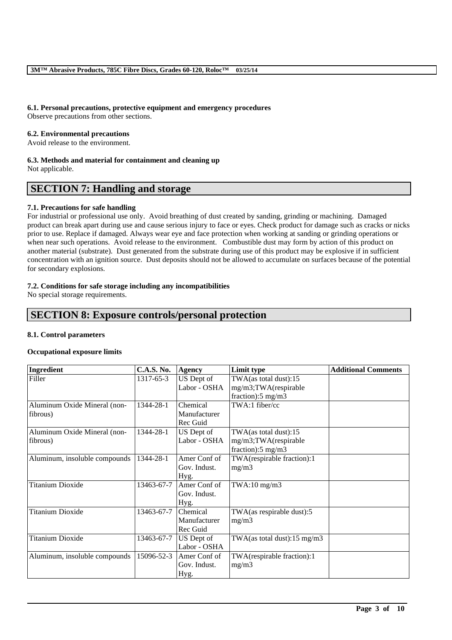# **6.1. Personal precautions, protective equipment and emergency procedures**

Observe precautions from other sections.

### **6.2. Environmental precautions**

Avoid release to the environment.

#### **6.3. Methods and material for containment and cleaning up**

Not applicable.

# **SECTION 7: Handling and storage**

## **7.1. Precautions for safe handling**

For industrial or professional use only. Avoid breathing of dust created by sanding, grinding or machining. Damaged product can break apart during use and cause serious injury to face or eyes. Check product for damage such as cracks or nicks prior to use. Replace if damaged. Always wear eye and face protection when working at sanding or grinding operations or when near such operations. Avoid release to the environment. Combustible dust may form by action of this product on another material (substrate). Dust generated from the substrate during use of this product may be explosive if in sufficient concentration with an ignition source. Dust deposits should not be allowed to accumulate on surfaces because of the potential for secondary explosions.

## **7.2. Conditions for safe storage including any incompatibilities**

No special storage requirements.

# **SECTION 8: Exposure controls/personal protection**

## **8.1. Control parameters**

## **Occupational exposure limits**

| Ingredient                    | <b>C.A.S. No.</b> | <b>Agency</b> | <b>Limit type</b>                       | <b>Additional Comments</b> |
|-------------------------------|-------------------|---------------|-----------------------------------------|----------------------------|
| Filler                        | 1317-65-3         | US Dept of    | TWA(as total dust):15                   |                            |
|                               |                   | Labor - OSHA  | mg/m3;TWA(respirable                    |                            |
|                               |                   |               | fraction):5 mg/m3                       |                            |
| Aluminum Oxide Mineral (non-  | 1344-28-1         | Chemical      | TWA:1 fiber/cc                          |                            |
| fibrous)                      |                   | Manufacturer  |                                         |                            |
|                               |                   | Rec Guid      |                                         |                            |
| Aluminum Oxide Mineral (non-  | 1344-28-1         | US Dept of    | TWA(as total dust):15                   |                            |
| fibrous)                      |                   | Labor - OSHA  | mg/m3;TWA(respirable                    |                            |
|                               |                   |               | fraction):5 mg/m3                       |                            |
| Aluminum, insoluble compounds | 1344-28-1         | Amer Conf of  | TWA(respirable fraction):1              |                            |
|                               |                   | Gov. Indust.  | mg/m3                                   |                            |
|                               |                   | Hyg.          |                                         |                            |
| <b>Titanium Dioxide</b>       | 13463-67-7        | Amer Conf of  | $TWA:10$ mg/m $3$                       |                            |
|                               |                   | Gov. Indust.  |                                         |                            |
|                               |                   | Hyg.          |                                         |                            |
| <b>Titanium Dioxide</b>       | 13463-67-7        | Chemical      | TWA(as respirable dust):5               |                            |
|                               |                   | Manufacturer  | mg/m3                                   |                            |
|                               |                   | Rec Guid      |                                         |                            |
| <b>Titanium Dioxide</b>       | 13463-67-7        | US Dept of    | TWA(as total dust): $15 \text{ mg/m}$ 3 |                            |
|                               |                   | Labor - OSHA  |                                         |                            |
| Aluminum, insoluble compounds | 15096-52-3        | Amer Conf of  | TWA(respirable fraction):1              |                            |
|                               |                   | Gov. Indust.  | mg/m3                                   |                            |
|                               |                   | Hyg.          |                                         |                            |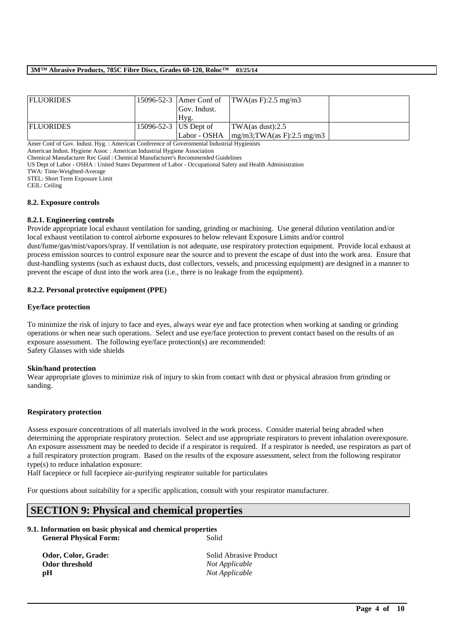| <b>FLUORIDES</b> |                         |              | 15096-52-3   Amer Conf of   TWA $(as F): 2.5 mg/m3$ |  |
|------------------|-------------------------|--------------|-----------------------------------------------------|--|
|                  |                         | Gov. Indust. |                                                     |  |
|                  |                         | Hyg.         |                                                     |  |
| <b>FLUORIDES</b> | 15096-52-3   US Dept of |              | $\text{TWA}\left(\text{as dust}\right):2.5$         |  |
|                  |                         | Labor - OSHA | $mg/m3$ ; TWA(as F): 2.5 mg/m3                      |  |

Amer Conf of Gov. Indust. Hyg. : American Conference of Governmental Industrial Hygienists

American Indust. Hygiene Assoc : American Industrial Hygiene Association

Chemical Manufacturer Rec Guid : Chemical Manufacturer's Recommended Guidelines

US Dept of Labor - OSHA : United States Department of Labor - Occupational Safety and Health Administration

TWA: Time-Weighted-Average

STEL: Short Term Exposure Limit

CEIL: Ceiling

#### **8.2. Exposure controls**

#### **8.2.1. Engineering controls**

Provide appropriate local exhaust ventilation for sanding, grinding or machining. Use general dilution ventilation and/or local exhaust ventilation to control airborne exposures to below relevant Exposure Limits and/or control

dust/fume/gas/mist/vapors/spray. If ventilation is not adequate, use respiratory protection equipment. Provide local exhaust at process emission sources to control exposure near the source and to prevent the escape of dust into the work area. Ensure that dust-handling systems (such as exhaust ducts, dust collectors, vessels, and processing equipment) are designed in a manner to prevent the escape of dust into the work area (i.e., there is no leakage from the equipment).

#### **8.2.2. Personal protective equipment (PPE)**

#### **Eye/face protection**

To minimize the risk of injury to face and eyes, always wear eye and face protection when working at sanding or grinding operations or when near such operations. Select and use eye/face protection to prevent contact based on the results of an exposure assessment. The following eye/face protection(s) are recommended: Safety Glasses with side shields

#### **Skin/hand protection**

Wear appropriate gloves to minimize risk of injury to skin from contact with dust or physical abrasion from grinding or sanding.

#### **Respiratory protection**

Assess exposure concentrations of all materials involved in the work process. Consider material being abraded when determining the appropriate respiratory protection. Select and use appropriate respirators to prevent inhalation overexposure. An exposure assessment may be needed to decide if a respirator is required. If a respirator is needed, use respirators as part of a full respiratory protection program. Based on the results of the exposure assessment, select from the following respirator type(s) to reduce inhalation exposure:

Half facepiece or full facepiece air-purifying respirator suitable for particulates

For questions about suitability for a specific application, consult with your respirator manufacturer.

# **SECTION 9: Physical and chemical properties**

# **9.1. Information on basic physical and chemical properties**

**General Physical Form:** Solid

**pH** *Not Applicable*

**Odor, Color, Grade:** Solid Abrasive Product<br> **Odor threshold** Not Applicable  $Not Applicable$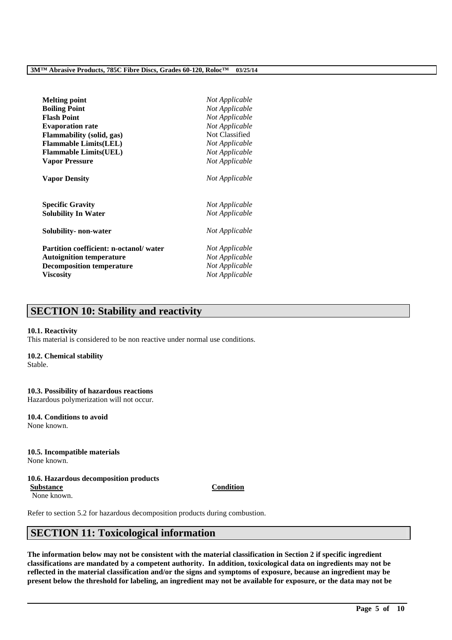| <b>Melting point</b>                   | Not Applicable |
|----------------------------------------|----------------|
| <b>Boiling Point</b>                   | Not Applicable |
| <b>Flash Point</b>                     | Not Applicable |
| <b>Evaporation rate</b>                | Not Applicable |
| Flammability (solid, gas)              | Not Classified |
| <b>Flammable Limits(LEL)</b>           | Not Applicable |
| <b>Flammable Limits(UEL)</b>           | Not Applicable |
| <b>Vapor Pressure</b>                  | Not Applicable |
| <b>Vapor Density</b>                   | Not Applicable |
| <b>Specific Gravity</b>                | Not Applicable |
| <b>Solubility In Water</b>             | Not Applicable |
| Solubility- non-water                  | Not Applicable |
| Partition coefficient: n-octanol/water | Not Applicable |
| <b>Autoignition temperature</b>        | Not Applicable |
| <b>Decomposition temperature</b>       | Not Applicable |
| <b>Viscosity</b>                       | Not Applicable |

# **SECTION 10: Stability and reactivity**

#### **10.1. Reactivity**

This material is considered to be non reactive under normal use conditions.

#### **10.2. Chemical stability**

Stable.

#### **10.3. Possibility of hazardous reactions** Hazardous polymerization will not occur.

**10.4. Conditions to avoid**

None known.

# **10.5. Incompatible materials**

None known.

# **10.6. Hazardous decomposition products**

**Substance Condition** None known.

Refer to section 5.2 for hazardous decomposition products during combustion.

# **SECTION 11: Toxicological information**

**The information below may not be consistent with the material classification in Section 2 if specific ingredient classifications are mandated by a competent authority. In addition, toxicological data on ingredients may not be reflected in the material classification and/or the signs and symptoms of exposure, because an ingredient may be present below the threshold for labeling, an ingredient may not be available for exposure, or the data may not be**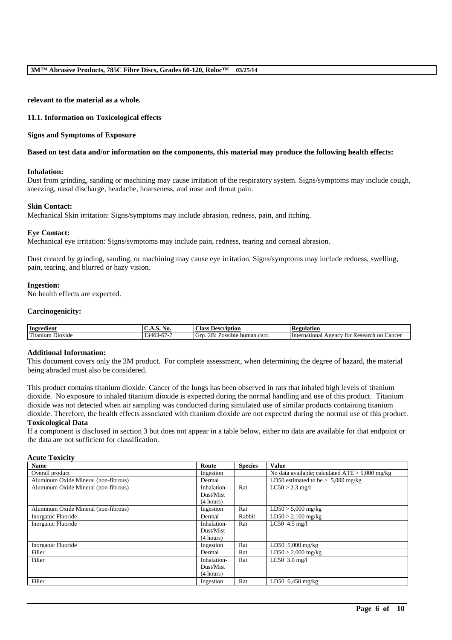**relevant to the material as a whole.**

#### **11.1. Information on Toxicological effects**

#### **Signs and Symptoms of Exposure**

#### **Based on test data and/or information on the components, this material may produce the following health effects:**

#### **Inhalation:**

Dust from grinding, sanding or machining may cause irritation of the respiratory system. Signs/symptoms may include cough, sneezing, nasal discharge, headache, hoarseness, and nose and throat pain.

#### **Skin Contact:**

Mechanical Skin irritation: Signs/symptoms may include abrasion, redness, pain, and itching.

#### **Eye Contact:**

Mechanical eye irritation: Signs/symptoms may include pain, redness, tearing and corneal abrasion.

Dust created by grinding, sanding, or machining may cause eye irritation. Signs/symptoms may include redness, swelling, pain, tearing, and blurred or hazy vision.

#### **Ingestion:**

No health effects are expected.

#### **Carcinogenicity:**

| Ingredient             | AO.<br>$\mathbf{L}$<br>.                                  | $\sim$<br>. lass<br><b>Description</b>  | <b>Regulation</b>                                           |
|------------------------|-----------------------------------------------------------|-----------------------------------------|-------------------------------------------------------------|
| m.<br>Titanium Dioxide | $\sim$ 4 $\sim$ $\sim$<br>-16<br>.<br>ュリン<br>$\mathbf{v}$ | OR.<br>Possible human carc.<br>Gr<br>-- | Cancei<br>International<br>$\sqrt{2}$<br>Research on<br>tor |

#### **Additional Information:**

This document covers only the 3M product. For complete assessment, when determining the degree of hazard, the material being abraded must also be considered.

This product contains titanium dioxide. Cancer of the lungs has been observed in rats that inhaled high levels of titanium dioxide. No exposure to inhaled titanium dioxide is expected during the normal handling and use of this product. Titanium dioxide was not detected when air sampling was conducted during simulated use of similar products containing titanium dioxide. Therefore, the health effects associated with titanium dioxide are not expected during the normal use of this product.

#### **Toxicological Data**

If a component is disclosed in section 3 but does not appear in a table below, either no data are available for that endpoint or the data are not sufficient for classification.

#### **Acute Toxicity**

| <b>Name</b>                          | Route       | <b>Species</b> | <b>Value</b>                                      |
|--------------------------------------|-------------|----------------|---------------------------------------------------|
| Overall product                      | Ingestion   |                | No data available; calculated $ATE > 5,000$ mg/kg |
| Aluminum Oxide Mineral (non-fibrous) | Dermal      |                | LD50 estimated to be $> 5,000$ mg/kg              |
| Aluminum Oxide Mineral (non-fibrous) | Inhalation- | Rat            | $LC50 > 2.3$ mg/l                                 |
|                                      | Dust/Mist   |                |                                                   |
|                                      | (4 hours)   |                |                                                   |
| Aluminum Oxide Mineral (non-fibrous) | Ingestion   | Rat            | $LD50 > 5,000$ mg/kg                              |
| Inorganic Fluoride                   | Dermal      | Rabbit         | $LD50 > 2,100$ mg/kg                              |
| Inorganic Fluoride                   | Inhalation- | Rat            | $LC50$ 4.5 mg/l                                   |
|                                      | Dust/Mist   |                |                                                   |
|                                      | (4 hours)   |                |                                                   |
| Inorganic Fluoride                   | Ingestion   | Rat            | $LD50, 5,000$ mg/kg                               |
| Filler                               | Dermal      | Rat            | $LD50 > 2,000$ mg/kg                              |
| Filler                               | Inhalation- | Rat            | $LC50$ 3.0 mg/l                                   |
|                                      | Dust/Mist   |                |                                                   |
|                                      | (4 hours)   |                |                                                   |
| Filler                               | Ingestion   | Rat            | $LD50$ 6,450 mg/kg                                |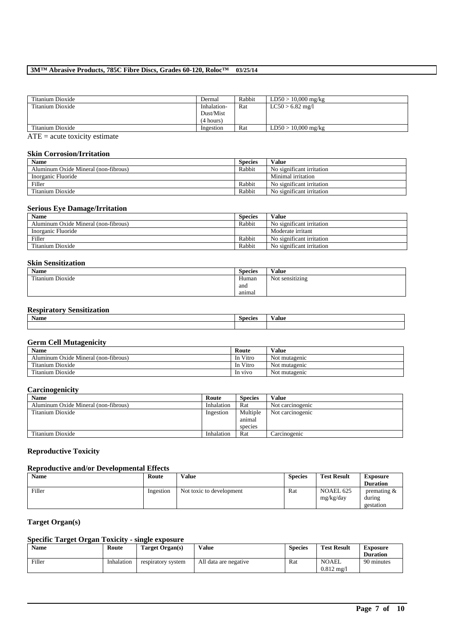| Dermal      | Rabbit | $LD50 > 10,000$ mg/kg |
|-------------|--------|-----------------------|
| Inhalation- | Rat    | $LC50 > 6.82$ mg/l    |
| Dust/Mist   |        |                       |
| (4 hours)   |        |                       |
| Ingestion   | Rat    | $LD50 > 10,000$ mg/kg |
|             |        |                       |

 $ATE = acute toxicity estimate$ 

## **Skin Corrosion/Irritation**

| <b>Name</b>                          | <b>Species</b> | <b>Value</b>              |
|--------------------------------------|----------------|---------------------------|
| Aluminum Oxide Mineral (non-fibrous) | Rabbit         | No significant irritation |
| Inorganic Fluoride                   |                | Minimal irritation        |
| Filler                               | Rabbit         | No significant irritation |
| Titanium Dioxide                     | Rabbit         | No significant irritation |

# **Serious Eye Damage/Irritation**

| <b>Name</b>                          | <b>Species</b> | <b>Value</b>              |
|--------------------------------------|----------------|---------------------------|
| Aluminum Oxide Mineral (non-fibrous) | Rabbit         | No significant irritation |
| Inorganic Fluoride                   |                | Moderate irritant         |
| Filler                               | Rabbit         | No significant irritation |
| Titanium Dioxide                     | Rabbit         | No significant irritation |

# **Skin Sensitization**

| <b>Name</b>      | <b>Species</b> | Value           |
|------------------|----------------|-----------------|
| Titanium Dioxide | Human          | Not sensitizing |
|                  | and            |                 |
|                  | anımal         |                 |

# **Respiratory Sensitization**

| <b>BT</b> | ۰             |       |
|-----------|---------------|-------|
| Name      | <b>SPACIA</b> | 'alue |
|           |               |       |

# **Germ Cell Mutagenicity**

| <b>Name</b>                          | Route    | Value         |
|--------------------------------------|----------|---------------|
| Aluminum Oxide Mineral (non-fibrous) | In Vitro | Not mutagenic |
| Titanium Dioxide                     | In Vitro | Not mutagenic |
| Titanium Dioxide                     | In vivo  | Not mutagenic |

# **Carcinogenicity**

| <b>Name</b>                          | Route      | <b>Species</b> | <b>Value</b>     |
|--------------------------------------|------------|----------------|------------------|
| Aluminum Oxide Mineral (non-fibrous) | Inhalation | Rat            | Not carcinogenic |
| Titanium Dioxide                     | Ingestion  | Multiple       | Not carcinogenic |
|                                      |            | animal         |                  |
|                                      |            | species        |                  |
| Titanium Dioxide                     | Inhalation | Rat            | Carcinogenic     |

# **Reproductive Toxicity**

# **Reproductive and/or Developmental Effects**

| <b>Name</b> | Route     | Value                    | <b>Species</b> | <b>Test Result</b>     | <b>Exposure</b>                                |
|-------------|-----------|--------------------------|----------------|------------------------|------------------------------------------------|
|             |           |                          |                |                        | <b>Duration</b>                                |
| Filler      | Ingestion | Not toxic to development | Rat            | NOAEL 625<br>mg/kg/day | $v$ or $v$ are $\alpha$<br>during<br>gestation |

# **Target Organ(s)**

# **Specific Target Organ Toxicity - single exposure**

| Name   | Route      | Target Organ(s)    | Value                 | <b>Species</b> | <b>Test Result</b>                 | Exposure<br><b>Duration</b> |
|--------|------------|--------------------|-----------------------|----------------|------------------------------------|-----------------------------|
| Filler | Inhalation | respiratory system | All data are negative | Rat            | <b>NOAEL</b><br>$0.812 \text{ mg}$ | 90 minutes                  |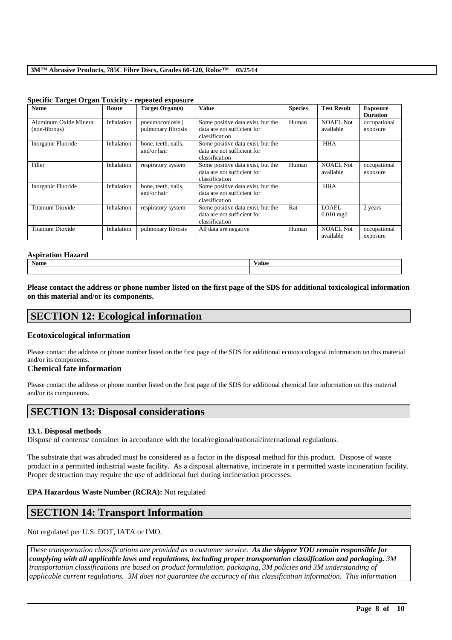| <b>Name</b>                             | Route      | <b>Target Organ(s)</b>               | <b>Value</b>                                                                       | <b>Species</b> | <b>Test Result</b>             | <b>Exposure</b><br><b>Duration</b> |
|-----------------------------------------|------------|--------------------------------------|------------------------------------------------------------------------------------|----------------|--------------------------------|------------------------------------|
| Aluminum Oxide Mineral<br>(non-fibrous) | Inhalation | pneumoconiosis<br>pulmonary fibrosis | Some positive data exist, but the<br>data are not sufficient for<br>classification | Human          | <b>NOAEL Not</b><br>available  | occupational<br>exposure           |
| Inorganic Fluoride                      | Inhalation | bone, teeth, nails,<br>and/or hair   | Some positive data exist, but the<br>data are not sufficient for<br>classification |                | <b>HHA</b>                     |                                    |
| Filler                                  | Inhalation | respiratory system                   | Some positive data exist, but the<br>data are not sufficient for<br>classification | Human          | <b>NOAEL Not</b><br>available  | occupational<br>exposure           |
| Inorganic Fluoride                      | Inhalation | bone, teeth, nails,<br>and/or hair   | Some positive data exist, but the<br>data are not sufficient for<br>classification |                | <b>HHA</b>                     |                                    |
| Titanium Dioxide                        | Inhalation | respiratory system                   | Some positive data exist, but the<br>data are not sufficient for<br>classification | Rat            | LOAEL.<br>$0.010 \text{ mg}/1$ | 2 years                            |
| Titanium Dioxide                        | Inhalation | pulmonary fibrosis                   | All data are negative                                                              | Human          | <b>NOAEL Not</b><br>available  | occupational<br>exposure           |

#### **Specific Target Organ Toxicity - repeated exposure**

#### **Aspiration Hazard**

| Name | Value |
|------|-------|
|      |       |

**Please contact the address or phone number listed on the first page of the SDS for additional toxicological information on this material and/or its components.**

# **SECTION 12: Ecological information**

## **Ecotoxicological information**

Please contact the address or phone number listed on the first page of the SDS for additional ecotoxicological information on this material and/or its components.

# **Chemical fate information**

Please contact the address or phone number listed on the first page of the SDS for additional chemical fate information on this material and/or its components.

# **SECTION 13: Disposal considerations**

## **13.1. Disposal methods**

Dispose of contents/ container in accordance with the local/regional/national/international regulations.

The substrate that was abraded must be considered as a factor in the disposal method for this product. Dispose of waste product in a permitted industrial waste facility. As a disposal alternative, incinerate in a permitted waste incineration facility. Proper destruction may require the use of additional fuel during incineration processes.

## **EPA Hazardous Waste Number (RCRA):** Not regulated

# **SECTION 14: Transport Information**

Not regulated per U.S. DOT, IATA or IMO.

*These transportation classifications are provided as a customer service. As the shipper YOU remain responsible for complying with all applicable laws and regulations, including proper transportation classification and packaging. 3M transportation classifications are based on product formulation, packaging, 3M policies and 3M understanding of applicable current regulations. 3M does not guarantee the accuracy of this classification information. This information*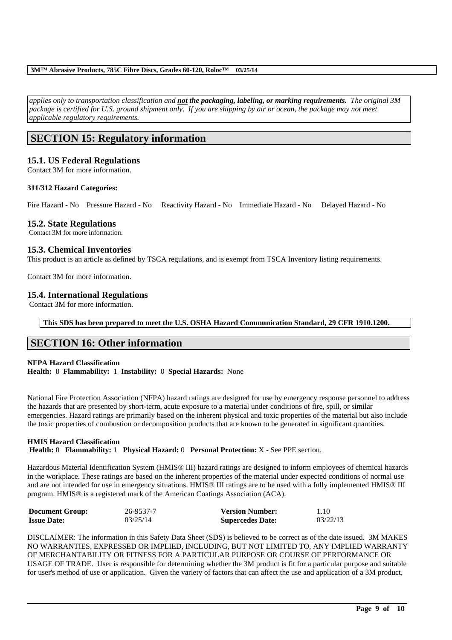*applies only to transportation classification and not the packaging, labeling, or marking requirements. The original 3M package is certified for U.S. ground shipment only. If you are shipping by air or ocean, the package may not meet applicable regulatory requirements.* 

# **SECTION 15: Regulatory information**

# **15.1. US Federal Regulations**

Contact 3M for more information.

## **311/312 Hazard Categories:**

Fire Hazard - No Pressure Hazard - No Reactivity Hazard - No Immediate Hazard - No Delayed Hazard - No

## **15.2. State Regulations**

Contact 3M for more information.

# **15.3. Chemical Inventories**

This product is an article as defined by TSCA regulations, and is exempt from TSCA Inventory listing requirements.

Contact 3M for more information.

# **15.4. International Regulations**

Contact 3M for more information.

**This SDS has been prepared to meet the U.S. OSHA Hazard Communication Standard, 29 CFR 1910.1200.**

# **SECTION 16: Other information**

# **NFPA Hazard Classification**

**Health:** 0 **Flammability:** 1 **Instability:** 0 **Special Hazards:** None

National Fire Protection Association (NFPA) hazard ratings are designed for use by emergency response personnel to address the hazards that are presented by short-term, acute exposure to a material under conditions of fire, spill, or similar emergencies. Hazard ratings are primarily based on the inherent physical and toxic properties of the material but also include the toxic properties of combustion or decomposition products that are known to be generated in significant quantities.

#### **HMIS Hazard Classification Health:** 0 **Flammability:** 1 **Physical Hazard:** 0 **Personal Protection:** X - See PPE section.

Hazardous Material Identification System (HMIS® III) hazard ratings are designed to inform employees of chemical hazards in the workplace. These ratings are based on the inherent properties of the material under expected conditions of normal use and are not intended for use in emergency situations. HMIS® III ratings are to be used with a fully implemented HMIS® III program. HMIS® is a registered mark of the American Coatings Association (ACA).

| <b>Document Group:</b> | 26-9537-7 | <b>Version Number:</b>  | 1.10     |
|------------------------|-----------|-------------------------|----------|
| <b>Issue Date:</b>     | 03/25/14  | <b>Supercedes Date:</b> | 03/22/13 |

DISCLAIMER: The information in this Safety Data Sheet (SDS) is believed to be correct as of the date issued. 3M MAKES NO WARRANTIES, EXPRESSED OR IMPLIED, INCLUDING, BUT NOT LIMITED TO, ANY IMPLIED WARRANTY OF MERCHANTABILITY OR FITNESS FOR A PARTICULAR PURPOSE OR COURSE OF PERFORMANCE OR USAGE OF TRADE. User is responsible for determining whether the 3M product is fit for a particular purpose and suitable for user's method of use or application. Given the variety of factors that can affect the use and application of a 3M product,